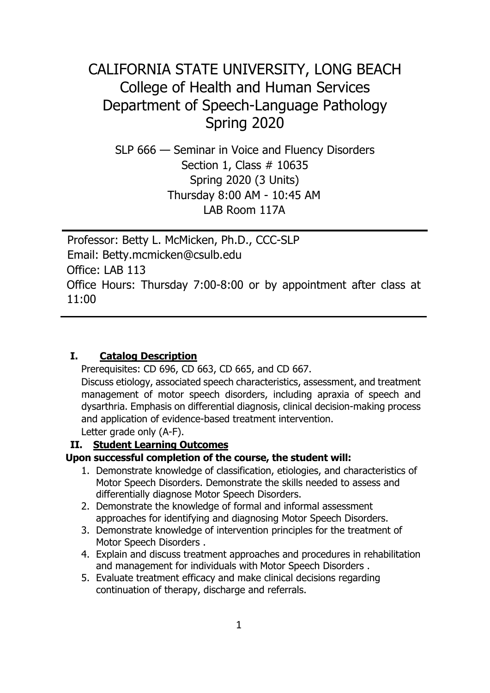# CALIFORNIA STATE UNIVERSITY, LONG BEACH College of Health and Human Services Department of Speech-Language Pathology Spring 2020

SLP 666 — Seminar in Voice and Fluency Disorders Section 1, Class # 10635 Spring 2020 (3 Units) Thursday 8:00 AM - 10:45 AM LAB Room 117A

Professor: Betty L. McMicken, Ph.D., CCC-SLP Email: Betty.mcmicken@csulb.edu Office: LAB 113 Office Hours: Thursday 7:00-8:00 or by appointment after class at 11:00

#### **I. Catalog Description**

Prerequisites: CD 696, CD 663, CD 665, and CD 667.

Discuss etiology, associated speech characteristics, assessment, and treatment management of motor speech disorders, including apraxia of speech and dysarthria. Emphasis on differential diagnosis, clinical decision-making process and application of evidence-based treatment intervention.

Letter grade only (A-F).

#### **II. Student Learning Outcomes**

#### **Upon successful completion of the course, the student will:**

- 1. Demonstrate knowledge of classification, etiologies, and characteristics of Motor Speech Disorders. Demonstrate the skills needed to assess and differentially diagnose Motor Speech Disorders.
- 2. Demonstrate the knowledge of formal and informal assessment approaches for identifying and diagnosing Motor Speech Disorders.
- 3. Demonstrate knowledge of intervention principles for the treatment of Motor Speech Disorders .
- 4. Explain and discuss treatment approaches and procedures in rehabilitation and management for individuals with Motor Speech Disorders .
- 5. Evaluate treatment efficacy and make clinical decisions regarding continuation of therapy, discharge and referrals.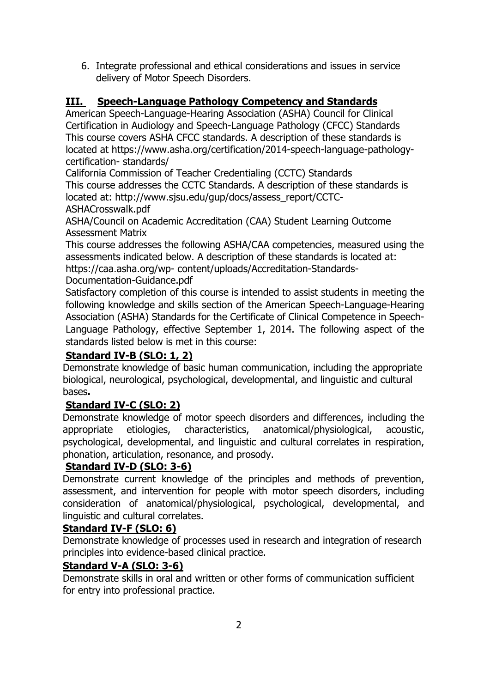6. Integrate professional and ethical considerations and issues in service delivery of Motor Speech Disorders.

## **III. Speech-Language Pathology Competency and Standards**

American Speech-Language-Hearing Association (ASHA) Council for Clinical Certification in Audiology and Speech-Language Pathology (CFCC) Standards This course covers ASHA CFCC standards. A description of these standards is located at https://www.asha.org/certification/2014-speech-language-pathologycertification- standards/

California Commission of Teacher Credentialing (CCTC) Standards This course addresses the CCTC Standards. A description of these standards is located at: http://www.sjsu.edu/gup/docs/assess\_report/CCTC-ASHACrosswalk.pdf

ASHA/Council on Academic Accreditation (CAA) Student Learning Outcome Assessment Matrix

This course addresses the following ASHA/CAA competencies, measured using the assessments indicated below. A description of these standards is located at: https://caa.asha.org/wp- content/uploads/Accreditation-Standards-

Documentation-Guidance.pdf

Satisfactory completion of this course is intended to assist students in meeting the following knowledge and skills section of the American Speech-Language-Hearing Association (ASHA) Standards for the Certificate of Clinical Competence in Speech-Language Pathology, effective September 1, 2014. The following aspect of the standards listed below is met in this course:

#### **Standard IV-B (SLO: 1, 2)**

Demonstrate knowledge of basic human communication, including the appropriate biological, neurological, psychological, developmental, and linguistic and cultural bases**.** 

#### **Standard IV-C (SLO: 2)**

Demonstrate knowledge of motor speech disorders and differences, including the appropriate etiologies, characteristics, anatomical/physiological, acoustic, psychological, developmental, and linguistic and cultural correlates in respiration, phonation, articulation, resonance, and prosody.

#### **Standard IV-D (SLO: 3-6)**

Demonstrate current knowledge of the principles and methods of prevention, assessment, and intervention for people with motor speech disorders, including consideration of anatomical/physiological, psychological, developmental, and linguistic and cultural correlates.

#### **Standard IV-F (SLO: 6)**

Demonstrate knowledge of processes used in research and integration of research principles into evidence-based clinical practice.

#### **Standard V-A (SLO: 3-6)**

Demonstrate skills in oral and written or other forms of communication sufficient for entry into professional practice.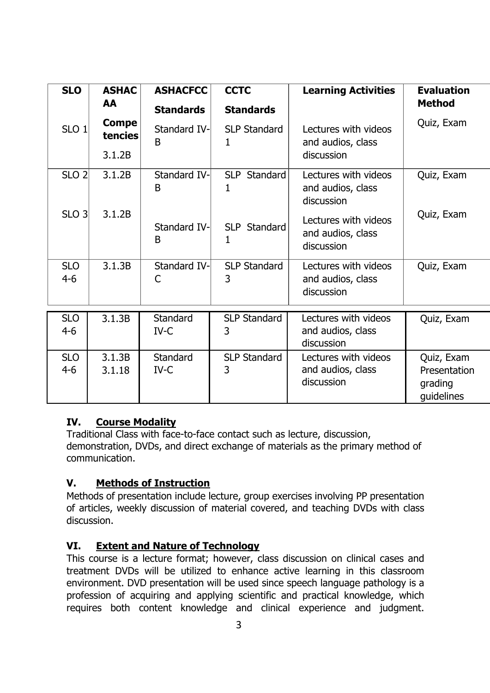| <b>SLO</b>            | <b>ASHAC</b><br>AA      | <b>ASHACFCC</b><br><b>Standards</b> | <b>CCTC</b><br><b>Standards</b> | <b>Learning Activities</b>                              | <b>Evaluation</b><br><b>Method</b>                  |
|-----------------------|-------------------------|-------------------------------------|---------------------------------|---------------------------------------------------------|-----------------------------------------------------|
| SLO <sub>1</sub>      | <b>Compe</b><br>tencies | Standard IV-<br>B                   | <b>SLP Standard</b><br>1        | Lectures with videos<br>and audios, class               | Quiz, Exam                                          |
|                       | 3.1.2B                  |                                     |                                 | discussion                                              |                                                     |
| SLO <sub>2</sub>      | 3.1.2B                  | Standard IV-<br>B                   | SLP Standard<br>1               | Lectures with videos<br>and audios, class<br>discussion | Quiz, Exam                                          |
| $SLO$ 3               | 3.1.2B                  | Standard IV-<br>B                   | SLP Standard<br>1               | Lectures with videos<br>and audios, class<br>discussion | Quiz, Exam                                          |
| <b>SLO</b><br>$4-6$   | 3.1.3B                  | Standard IV-<br>C                   | <b>SLP Standard</b><br>3        | Lectures with videos<br>and audios, class<br>discussion | Quiz, Exam                                          |
| <b>SLO</b><br>$4 - 6$ | 3.1.3B                  | <b>Standard</b><br>IV-C             | <b>SLP Standard</b><br>3        | Lectures with videos<br>and audios, class<br>discussion | Quiz, Exam                                          |
| <b>SLO</b><br>$4 - 6$ | 3.1.3B<br>3.1.18        | <b>Standard</b><br>IV-C             | <b>SLP Standard</b><br>3        | Lectures with videos<br>and audios, class<br>discussion | Quiz, Exam<br>Presentation<br>grading<br>guidelines |

## **IV. Course Modality**

Traditional Class with face-to-face contact such as lecture, discussion, demonstration, DVDs, and direct exchange of materials as the primary method of communication.

## **V. Methods of Instruction**

Methods of presentation include lecture, group exercises involving PP presentation of articles, weekly discussion of material covered, and teaching DVDs with class discussion.

## **VI. Extent and Nature of Technology**

This course is a lecture format; however, class discussion on clinical cases and treatment DVDs will be utilized to enhance active learning in this classroom environment. DVD presentation will be used since speech language pathology is a profession of acquiring and applying scientific and practical knowledge, which requires both content knowledge and clinical experience and judgment.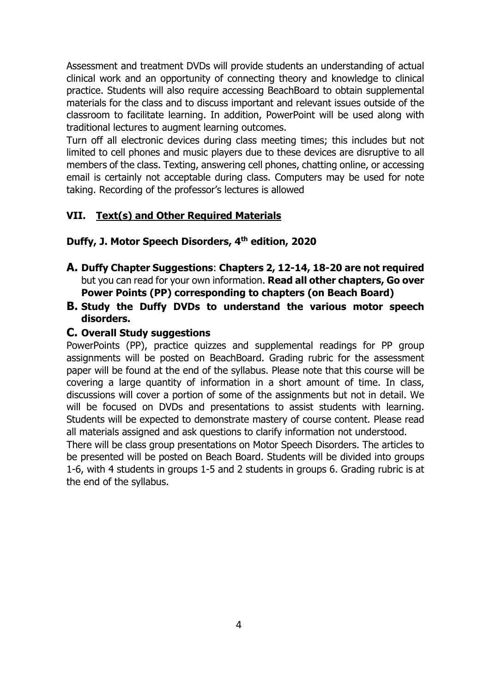Assessment and treatment DVDs will provide students an understanding of actual clinical work and an opportunity of connecting theory and knowledge to clinical practice. Students will also require accessing BeachBoard to obtain supplemental materials for the class and to discuss important and relevant issues outside of the classroom to facilitate learning. In addition, PowerPoint will be used along with traditional lectures to augment learning outcomes.

Turn off all electronic devices during class meeting times; this includes but not limited to cell phones and music players due to these devices are disruptive to all members of the class. Texting, answering cell phones, chatting online, or accessing email is certainly not acceptable during class. Computers may be used for note taking. Recording of the professor's lectures is allowed

## **VII. Text(s) and Other Required Materials**

#### **Duffy, J. Motor Speech Disorders, 4th edition, 2020**

- **A. Duffy Chapter Suggestions**: **Chapters 2, 12-14, 18-20 are not required** but you can read for your own information. **Read all other chapters, Go over Power Points (PP) corresponding to chapters (on Beach Board)**
- **B. Study the Duffy DVDs to understand the various motor speech disorders.**

#### **C. Overall Study suggestions**

PowerPoints (PP), practice quizzes and supplemental readings for PP group assignments will be posted on BeachBoard. Grading rubric for the assessment paper will be found at the end of the syllabus. Please note that this course will be covering a large quantity of information in a short amount of time. In class, discussions will cover a portion of some of the assignments but not in detail. We will be focused on DVDs and presentations to assist students with learning. Students will be expected to demonstrate mastery of course content. Please read all materials assigned and ask questions to clarify information not understood.

There will be class group presentations on Motor Speech Disorders. The articles to be presented will be posted on Beach Board. Students will be divided into groups 1-6, with 4 students in groups 1-5 and 2 students in groups 6. Grading rubric is at the end of the syllabus.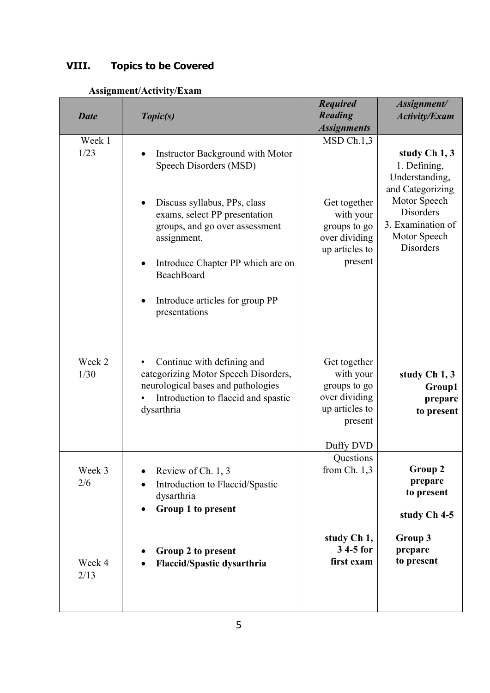## **VIII. Topics to be Covered**

| <b>Date</b>    | Topic(s)                                                                                                                                                                                                                                                                            | <b>Required</b><br><b>Reading</b><br><b>Assignments</b>                                               | Assignment/<br><b>Activity/Exam</b>                                                                                                                              |
|----------------|-------------------------------------------------------------------------------------------------------------------------------------------------------------------------------------------------------------------------------------------------------------------------------------|-------------------------------------------------------------------------------------------------------|------------------------------------------------------------------------------------------------------------------------------------------------------------------|
| Week 1<br>1/23 | Instructor Background with Motor<br>Speech Disorders (MSD)<br>Discuss syllabus, PPs, class<br>exams, select PP presentation<br>groups, and go over assessment<br>assignment.<br>Introduce Chapter PP which are on<br>BeachBoard<br>Introduce articles for group PP<br>presentations | MSD Ch.1,3<br>Get together<br>with your<br>groups to go<br>over dividing<br>up articles to<br>present | study Ch 1, 3<br>1. Defining,<br>Understanding,<br>and Categorizing<br>Motor Speech<br><b>Disorders</b><br>3. Examination of<br>Motor Speech<br><b>Disorders</b> |
| Week 2<br>1/30 | Continue with defining and<br>$\bullet$<br>categorizing Motor Speech Disorders,<br>neurological bases and pathologies<br>Introduction to flaccid and spastic<br>dysarthria                                                                                                          | Get together<br>with your<br>groups to go<br>over dividing<br>up articles to<br>present               | study Ch 1, 3<br>Group1<br>prepare<br>to present                                                                                                                 |
| Week 3<br>2/6  | Review of Ch. 1, 3<br>Introduction to Flaccid/Spastic<br>dysarthria<br>Group 1 to present                                                                                                                                                                                           | Duffy DVD<br>Questions<br>from $Ch. 1,3$                                                              | Group 2<br>prepare<br>to present<br>study Ch 4-5                                                                                                                 |
| Week 4<br>2/13 | Group 2 to present<br><b>Flaccid/Spastic dysarthria</b>                                                                                                                                                                                                                             | study Ch 1,<br>3 4-5 for<br>first exam                                                                | Group 3<br>prepare<br>to present                                                                                                                                 |

### **Assignment/Activity/Exam**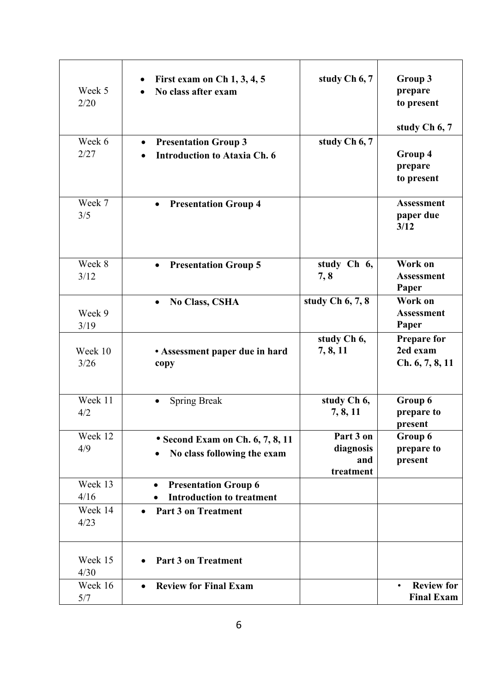| Week 5<br>2/20  | First exam on $Ch$ 1, 3, 4, 5<br>No class after exam                            | study Ch 6, 7                              | Group 3<br>prepare<br>to present<br>study Ch 6, 7   |
|-----------------|---------------------------------------------------------------------------------|--------------------------------------------|-----------------------------------------------------|
| Week 6<br>2/27  | <b>Presentation Group 3</b><br>$\bullet$<br><b>Introduction to Ataxia Ch. 6</b> | study Ch 6, 7                              | Group 4<br>prepare<br>to present                    |
| Week 7<br>3/5   | <b>Presentation Group 4</b><br>$\bullet$                                        |                                            | <b>Assessment</b><br>paper due<br>3/12              |
| Week 8<br>3/12  | <b>Presentation Group 5</b><br>$\bullet$                                        | study Ch 6,<br>7,8                         | Work on<br><b>Assessment</b><br>Paper               |
| Week 9<br>3/19  | <b>No Class, CSHA</b><br>$\bullet$                                              | study Ch $6, 7, 8$                         | Work on<br><b>Assessment</b><br>Paper               |
| Week 10<br>3/26 | • Assessment paper due in hard<br>copy                                          | study Ch 6,<br>7, 8, 11                    | <b>Prepare for</b><br>2ed exam<br>Ch. 6, 7, 8, 11   |
| Week 11<br>4/2  | <b>Spring Break</b>                                                             | study Ch 6,<br>7, 8, 11                    | Group 6<br>prepare to<br>present                    |
| Week 12<br>4/9  | • Second Exam on Ch. 6, 7, 8, 11<br>No class following the exam<br>$\bullet$    | Part 3 on<br>diagnosis<br>and<br>treatment | Group 6<br>prepare to<br>present                    |
| Week 13<br>4/16 | <b>Presentation Group 6</b><br><b>Introduction to treatment</b>                 |                                            |                                                     |
| Week 14<br>4/23 | Part 3 on Treatment<br>$\bullet$                                                |                                            |                                                     |
| Week 15<br>4/30 | <b>Part 3 on Treatment</b>                                                      |                                            |                                                     |
| Week 16<br>5/7  | <b>Review for Final Exam</b><br>$\bullet$                                       |                                            | <b>Review for</b><br>$\bullet$<br><b>Final Exam</b> |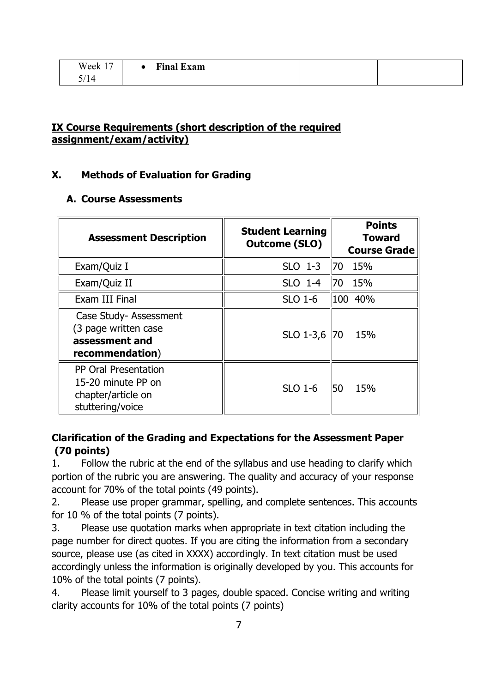| $\sim$<br>Week 1 | <b>Final Exam</b> |  |
|------------------|-------------------|--|
| 5/14             |                   |  |

### **IX Course Requirements (short description of the required assignment/exam/activity)**

### **X. Methods of Evaluation for Grading**

#### **A. Course Assessments**

| <b>Assessment Description</b>                                                               | <b>Student Learning</b><br><b>Outcome (SLO)</b> | <b>Points</b><br><b>Toward</b><br><b>Course Grade</b> |
|---------------------------------------------------------------------------------------------|-------------------------------------------------|-------------------------------------------------------|
| Exam/Quiz I                                                                                 | $SLO$ 1-3                                       | 70 15%                                                |
| Exam/Quiz II                                                                                | SLO 1-4                                         | 70 15%                                                |
| Exam III Final                                                                              | <b>SLO 1-6</b>                                  | 100 40%                                               |
| Case Study- Assessment<br>(3 page written case<br>assessment and<br>recommendation)         | SLO 1-3,6                                       | 15%<br>170                                            |
| <b>PP Oral Presentation</b><br>15-20 minute PP on<br>chapter/article on<br>stuttering/voice | <b>SLO 1-6</b>                                  | 50<br>15%                                             |

## **Clarification of the Grading and Expectations for the Assessment Paper (70 points)**

1. Follow the rubric at the end of the syllabus and use heading to clarify which portion of the rubric you are answering. The quality and accuracy of your response account for 70% of the total points (49 points).

2. Please use proper grammar, spelling, and complete sentences. This accounts for 10 % of the total points (7 points).

3. Please use quotation marks when appropriate in text citation including the page number for direct quotes. If you are citing the information from a secondary source, please use (as cited in XXXX) accordingly. In text citation must be used accordingly unless the information is originally developed by you. This accounts for 10% of the total points (7 points).

4. Please limit yourself to 3 pages, double spaced. Concise writing and writing clarity accounts for 10% of the total points (7 points)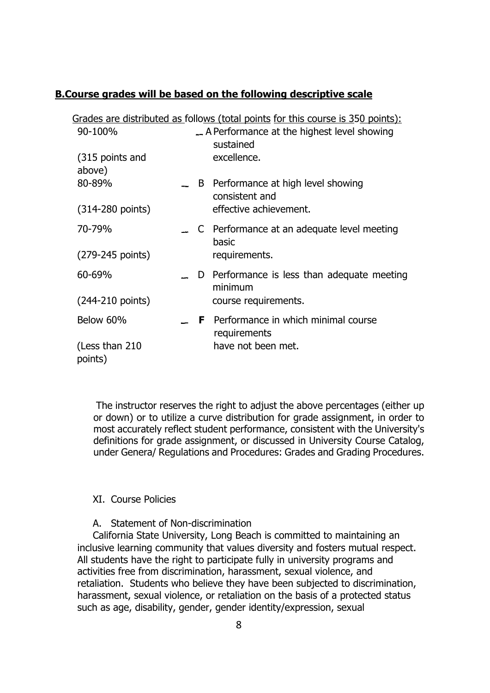#### **B.Course grades will be based on the following descriptive scale**

|                              |   | Grades are distributed as follows (total points for this course is 350 points): |
|------------------------------|---|---------------------------------------------------------------------------------|
| 90-100%                      |   | A Performance at the highest level showing<br>sustained                         |
| (315 points and<br>above)    |   | excellence.                                                                     |
| 80-89%                       | B | Performance at high level showing<br>consistent and                             |
| $(314 - 280 \text{ points})$ |   | effective achievement.                                                          |
| 70-79%                       |   | C Performance at an adequate level meeting<br>basic                             |
| (279-245 points)             |   | requirements.                                                                   |
| 60-69%                       |   | D Performance is less than adequate meeting<br>minimum                          |
| $(244 - 210 \text{ points})$ |   | course requirements.                                                            |
| Below 60%                    |   | <b>F</b> Performance in which minimal course<br>requirements                    |
| (Less than 210)<br>points)   |   | have not been met.                                                              |

The instructor reserves the right to adjust the above percentages (either up or down) or to utilize a curve distribution for grade assignment, in order to most accurately reflect student performance, consistent with the University's definitions for grade assignment, or discussed in University Course Catalog, under Genera/ Regulations and Procedures: Grades and Grading Procedures.

#### XI. Course Policies

#### A. Statement of Non-discrimination

California State University, Long Beach is committed to maintaining an inclusive learning community that values diversity and fosters mutual respect. All students have the right to participate fully in university programs and activities free from discrimination, harassment, sexual violence, and retaliation. Students who believe they have been subjected to discrimination, harassment, sexual violence, or retaliation on the basis of a protected status such as age, disability, gender, gender identity/expression, sexual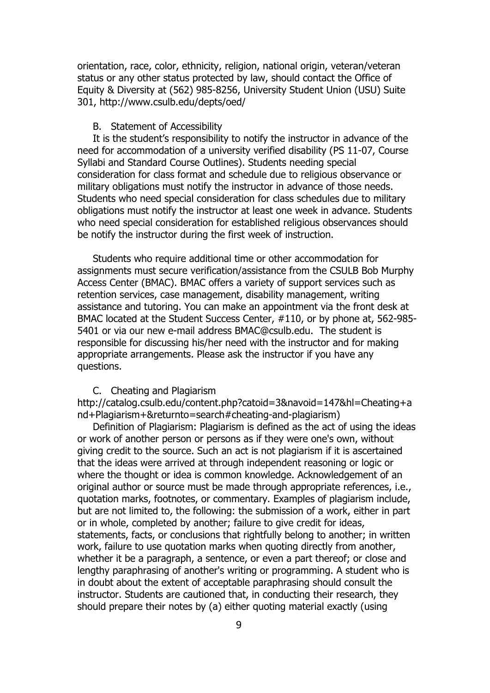orientation, race, color, ethnicity, religion, national origin, veteran/veteran status or any other status protected by law, should contact the Office of Equity & Diversity at (562) 985-8256, University Student Union (USU) Suite 301, http://www.csulb.edu/depts/oed/

#### B. Statement of Accessibility

It is the student's responsibility to notify the instructor in advance of the need for accommodation of a university verified disability (PS 11-07, Course Syllabi and Standard Course Outlines). Students needing special consideration for class format and schedule due to religious observance or military obligations must notify the instructor in advance of those needs. Students who need special consideration for class schedules due to military obligations must notify the instructor at least one week in advance. Students who need special consideration for established religious observances should be notify the instructor during the first week of instruction.

Students who require additional time or other accommodation for assignments must secure verification/assistance from the CSULB Bob Murphy Access Center (BMAC). BMAC offers a variety of support services such as retention services, case management, disability management, writing assistance and tutoring. You can make an appointment via the front desk at BMAC located at the Student Success Center, #110, or by phone at, 562-985- 5401 or via our new e-mail address BMAC@csulb.edu. The student is responsible for discussing his/her need with the instructor and for making appropriate arrangements. Please ask the instructor if you have any questions.

#### C. Cheating and Plagiarism

http://catalog.csulb.edu/content.php?catoid=3&navoid=147&hl=Cheating+a nd+Plagiarism+&returnto=search#cheating-and-plagiarism)

Definition of Plagiarism: Plagiarism is defined as the act of using the ideas or work of another person or persons as if they were one's own, without giving credit to the source. Such an act is not plagiarism if it is ascertained that the ideas were arrived at through independent reasoning or logic or where the thought or idea is common knowledge. Acknowledgement of an original author or source must be made through appropriate references, i.e., quotation marks, footnotes, or commentary. Examples of plagiarism include, but are not limited to, the following: the submission of a work, either in part or in whole, completed by another; failure to give credit for ideas, statements, facts, or conclusions that rightfully belong to another; in written work, failure to use quotation marks when quoting directly from another, whether it be a paragraph, a sentence, or even a part thereof; or close and lengthy paraphrasing of another's writing or programming. A student who is in doubt about the extent of acceptable paraphrasing should consult the instructor. Students are cautioned that, in conducting their research, they should prepare their notes by (a) either quoting material exactly (using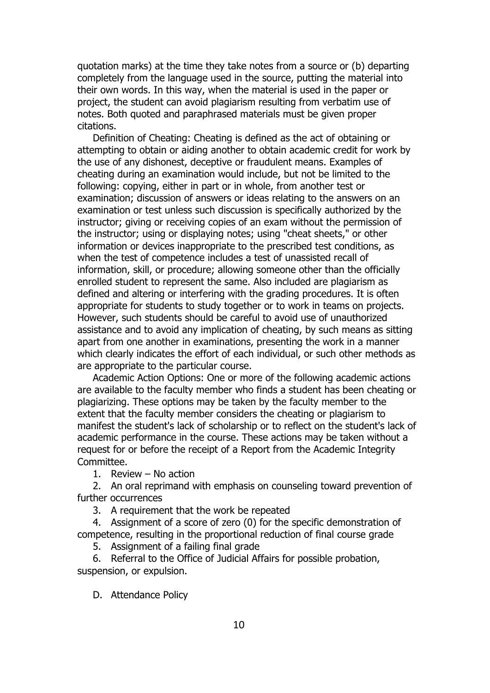quotation marks) at the time they take notes from a source or (b) departing completely from the language used in the source, putting the material into their own words. In this way, when the material is used in the paper or project, the student can avoid plagiarism resulting from verbatim use of notes. Both quoted and paraphrased materials must be given proper citations.

Definition of Cheating: Cheating is defined as the act of obtaining or attempting to obtain or aiding another to obtain academic credit for work by the use of any dishonest, deceptive or fraudulent means. Examples of cheating during an examination would include, but not be limited to the following: copying, either in part or in whole, from another test or examination; discussion of answers or ideas relating to the answers on an examination or test unless such discussion is specifically authorized by the instructor; giving or receiving copies of an exam without the permission of the instructor; using or displaying notes; using "cheat sheets," or other information or devices inappropriate to the prescribed test conditions, as when the test of competence includes a test of unassisted recall of information, skill, or procedure; allowing someone other than the officially enrolled student to represent the same. Also included are plagiarism as defined and altering or interfering with the grading procedures. It is often appropriate for students to study together or to work in teams on projects. However, such students should be careful to avoid use of unauthorized assistance and to avoid any implication of cheating, by such means as sitting apart from one another in examinations, presenting the work in a manner which clearly indicates the effort of each individual, or such other methods as are appropriate to the particular course.

Academic Action Options: One or more of the following academic actions are available to the faculty member who finds a student has been cheating or plagiarizing. These options may be taken by the faculty member to the extent that the faculty member considers the cheating or plagiarism to manifest the student's lack of scholarship or to reflect on the student's lack of academic performance in the course. These actions may be taken without a request for or before the receipt of a Report from the Academic Integrity Committee.

1. Review – No action

2. An oral reprimand with emphasis on counseling toward prevention of further occurrences

3. A requirement that the work be repeated

4. Assignment of a score of zero (0) for the specific demonstration of competence, resulting in the proportional reduction of final course grade

5. Assignment of a failing final grade

6. Referral to the Office of Judicial Affairs for possible probation, suspension, or expulsion.

D. Attendance Policy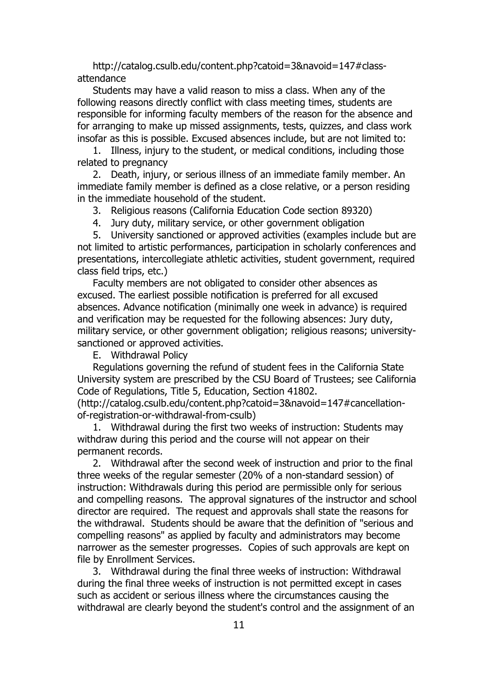http://catalog.csulb.edu/content.php?catoid=3&navoid=147#classattendance

Students may have a valid reason to miss a class. When any of the following reasons directly conflict with class meeting times, students are responsible for informing faculty members of the reason for the absence and for arranging to make up missed assignments, tests, quizzes, and class work insofar as this is possible. Excused absences include, but are not limited to:

1. Illness, injury to the student, or medical conditions, including those related to pregnancy

2. Death, injury, or serious illness of an immediate family member. An immediate family member is defined as a close relative, or a person residing in the immediate household of the student.

3. Religious reasons (California Education Code section 89320)

4. Jury duty, military service, or other government obligation

5. University sanctioned or approved activities (examples include but are not limited to artistic performances, participation in scholarly conferences and presentations, intercollegiate athletic activities, student government, required class field trips, etc.)

Faculty members are not obligated to consider other absences as excused. The earliest possible notification is preferred for all excused absences. Advance notification (minimally one week in advance) is required and verification may be requested for the following absences: Jury duty, military service, or other government obligation; religious reasons; universitysanctioned or approved activities.

E. Withdrawal Policy

Regulations governing the refund of student fees in the California State University system are prescribed by the CSU Board of Trustees; see California Code of Regulations, Title 5, Education, Section 41802.

(http://catalog.csulb.edu/content.php?catoid=3&navoid=147#cancellationof-registration-or-withdrawal-from-csulb)

1. Withdrawal during the first two weeks of instruction: Students may withdraw during this period and the course will not appear on their permanent records.

2. Withdrawal after the second week of instruction and prior to the final three weeks of the regular semester (20% of a non-standard session) of instruction: Withdrawals during this period are permissible only for serious and compelling reasons. The approval signatures of the instructor and school director are required. The request and approvals shall state the reasons for the withdrawal. Students should be aware that the definition of "serious and compelling reasons" as applied by faculty and administrators may become narrower as the semester progresses. Copies of such approvals are kept on file by Enrollment Services.

3. Withdrawal during the final three weeks of instruction: Withdrawal during the final three weeks of instruction is not permitted except in cases such as accident or serious illness where the circumstances causing the withdrawal are clearly beyond the student's control and the assignment of an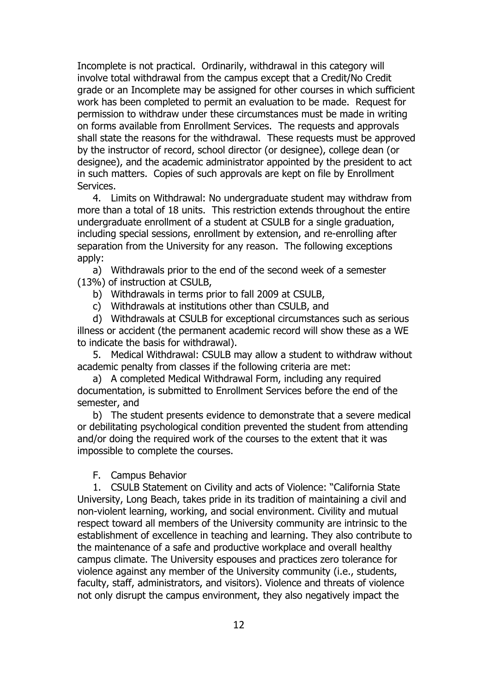Incomplete is not practical. Ordinarily, withdrawal in this category will involve total withdrawal from the campus except that a Credit/No Credit grade or an Incomplete may be assigned for other courses in which sufficient work has been completed to permit an evaluation to be made. Request for permission to withdraw under these circumstances must be made in writing on forms available from Enrollment Services. The requests and approvals shall state the reasons for the withdrawal. These requests must be approved by the instructor of record, school director (or designee), college dean (or designee), and the academic administrator appointed by the president to act in such matters. Copies of such approvals are kept on file by Enrollment Services.

4. Limits on Withdrawal: No undergraduate student may withdraw from more than a total of 18 units. This restriction extends throughout the entire undergraduate enrollment of a student at CSULB for a single graduation, including special sessions, enrollment by extension, and re-enrolling after separation from the University for any reason. The following exceptions apply:

a) Withdrawals prior to the end of the second week of a semester (13%) of instruction at CSULB,

- b) Withdrawals in terms prior to fall 2009 at CSULB,
- c) Withdrawals at institutions other than CSULB, and

d) Withdrawals at CSULB for exceptional circumstances such as serious illness or accident (the permanent academic record will show these as a WE to indicate the basis for withdrawal).

5. Medical Withdrawal: CSULB may allow a student to withdraw without academic penalty from classes if the following criteria are met:

a) A completed Medical Withdrawal Form, including any required documentation, is submitted to Enrollment Services before the end of the semester, and

b) The student presents evidence to demonstrate that a severe medical or debilitating psychological condition prevented the student from attending and/or doing the required work of the courses to the extent that it was impossible to complete the courses.

#### F. Campus Behavior

1. CSULB Statement on Civility and acts of Violence: "California State University, Long Beach, takes pride in its tradition of maintaining a civil and non-violent learning, working, and social environment. Civility and mutual respect toward all members of the University community are intrinsic to the establishment of excellence in teaching and learning. They also contribute to the maintenance of a safe and productive workplace and overall healthy campus climate. The University espouses and practices zero tolerance for violence against any member of the University community (i.e., students, faculty, staff, administrators, and visitors). Violence and threats of violence not only disrupt the campus environment, they also negatively impact the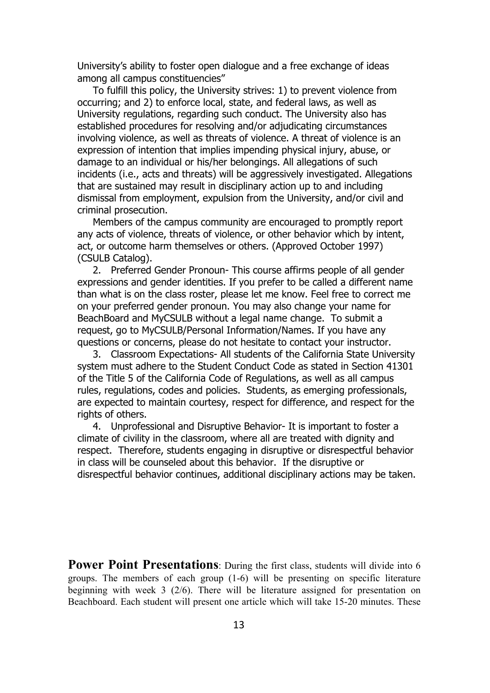University's ability to foster open dialogue and a free exchange of ideas among all campus constituencies"

To fulfill this policy, the University strives: 1) to prevent violence from occurring; and 2) to enforce local, state, and federal laws, as well as University regulations, regarding such conduct. The University also has established procedures for resolving and/or adjudicating circumstances involving violence, as well as threats of violence. A threat of violence is an expression of intention that implies impending physical injury, abuse, or damage to an individual or his/her belongings. All allegations of such incidents (i.e., acts and threats) will be aggressively investigated. Allegations that are sustained may result in disciplinary action up to and including dismissal from employment, expulsion from the University, and/or civil and criminal prosecution.

Members of the campus community are encouraged to promptly report any acts of violence, threats of violence, or other behavior which by intent, act, or outcome harm themselves or others. (Approved October 1997) (CSULB Catalog).

2. Preferred Gender Pronoun- This course affirms people of all gender expressions and gender identities. If you prefer to be called a different name than what is on the class roster, please let me know. Feel free to correct me on your preferred gender pronoun. You may also change your name for BeachBoard and MyCSULB without a legal name change. To submit a request, go to MyCSULB/Personal Information/Names. If you have any questions or concerns, please do not hesitate to contact your instructor.

3. Classroom Expectations- All students of the California State University system must adhere to the Student Conduct Code as stated in Section 41301 of the Title 5 of the California Code of Regulations, as well as all campus rules, regulations, codes and policies. Students, as emerging professionals, are expected to maintain courtesy, respect for difference, and respect for the rights of others.

4. Unprofessional and Disruptive Behavior- It is important to foster a climate of civility in the classroom, where all are treated with dignity and respect. Therefore, students engaging in disruptive or disrespectful behavior in class will be counseled about this behavior. If the disruptive or disrespectful behavior continues, additional disciplinary actions may be taken.

**Power Point Presentations**: During the first class, students will divide into 6 groups. The members of each group (1-6) will be presenting on specific literature beginning with week 3 (2/6). There will be literature assigned for presentation on Beachboard. Each student will present one article which will take 15-20 minutes. These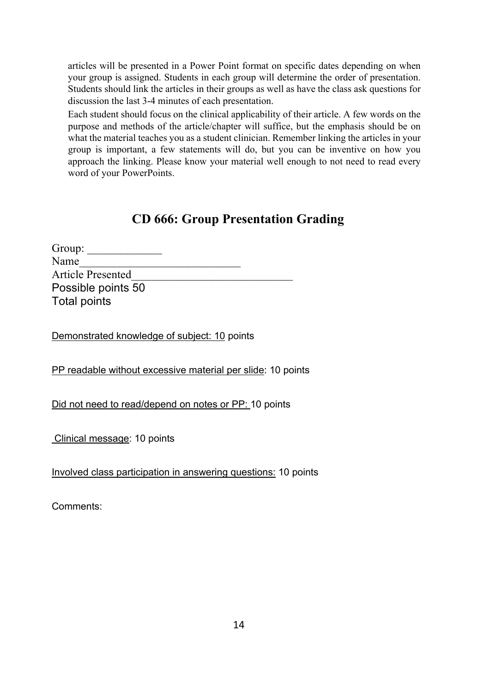articles will be presented in a Power Point format on specific dates depending on when your group is assigned. Students in each group will determine the order of presentation. Students should link the articles in their groups as well as have the class ask questions for discussion the last 3-4 minutes of each presentation.

Each student should focus on the clinical applicability of their article. A few words on the purpose and methods of the article/chapter will suffice, but the emphasis should be on what the material teaches you as a student clinician. Remember linking the articles in your group is important, a few statements will do, but you can be inventive on how you approach the linking. Please know your material well enough to not need to read every word of your PowerPoints.

## **CD 666: Group Presentation Grading**

| Group:                   |  |
|--------------------------|--|
| Name                     |  |
| <b>Article Presented</b> |  |
| Possible points 50       |  |
| Total points             |  |

Demonstrated knowledge of subject: 10 points

PP readable without excessive material per slide: 10 points

Did not need to read/depend on notes or PP: 10 points

Clinical message: 10 points

Involved class participation in answering questions: 10 points

Comments: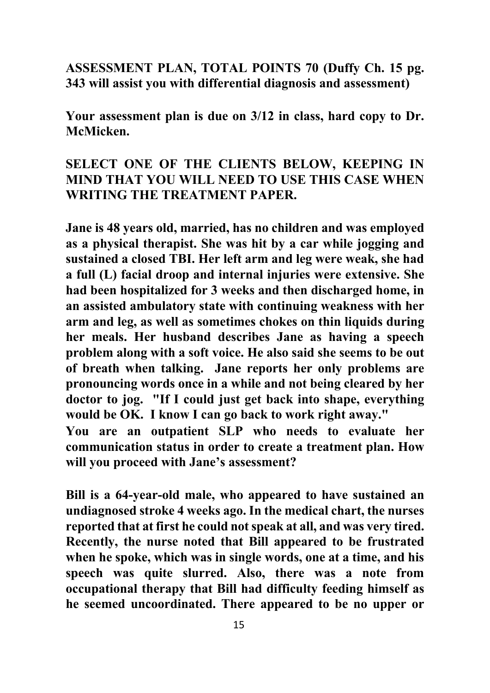## **ASSESSMENT PLAN, TOTAL POINTS 70 (Duffy Ch. 15 pg. 343 will assist you with differential diagnosis and assessment)**

**Your assessment plan is due on 3/12 in class, hard copy to Dr. McMicken.** 

## **SELECT ONE OF THE CLIENTS BELOW, KEEPING IN MIND THAT YOU WILL NEED TO USE THIS CASE WHEN WRITING THE TREATMENT PAPER.**

**Jane is 48 years old, married, has no children and was employed as a physical therapist. She was hit by a car while jogging and sustained a closed TBI. Her left arm and leg were weak, she had a full (L) facial droop and internal injuries were extensive. She had been hospitalized for 3 weeks and then discharged home, in an assisted ambulatory state with continuing weakness with her arm and leg, as well as sometimes chokes on thin liquids during her meals. Her husband describes Jane as having a speech problem along with a soft voice. He also said she seems to be out of breath when talking. Jane reports her only problems are pronouncing words once in a while and not being cleared by her doctor to jog. "If I could just get back into shape, everything would be OK. I know I can go back to work right away." You are an outpatient SLP who needs to evaluate her** 

**communication status in order to create a treatment plan. How will you proceed with Jane's assessment?**

**Bill is a 64-year-old male, who appeared to have sustained an undiagnosed stroke 4 weeks ago. In the medical chart, the nurses reported that at first he could not speak at all, and was very tired. Recently, the nurse noted that Bill appeared to be frustrated when he spoke, which was in single words, one at a time, and his speech was quite slurred. Also, there was a note from occupational therapy that Bill had difficulty feeding himself as he seemed uncoordinated. There appeared to be no upper or**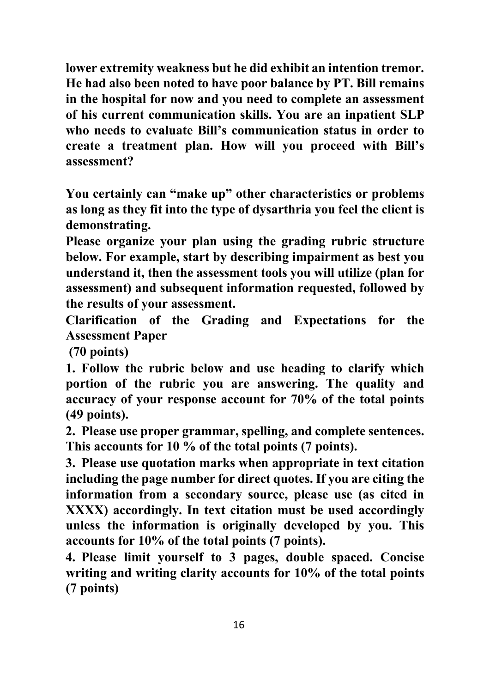**lower extremity weakness but he did exhibit an intention tremor. He had also been noted to have poor balance by PT. Bill remains in the hospital for now and you need to complete an assessment of his current communication skills. You are an inpatient SLP who needs to evaluate Bill's communication status in order to create a treatment plan. How will you proceed with Bill's assessment?**

**You certainly can "make up" other characteristics or problems as long as they fit into the type of dysarthria you feel the client is demonstrating.**

**Please organize your plan using the grading rubric structure below. For example, start by describing impairment as best you understand it, then the assessment tools you will utilize (plan for assessment) and subsequent information requested, followed by the results of your assessment.**

**Clarification of the Grading and Expectations for the Assessment Paper** 

**(70 points)**

**1. Follow the rubric below and use heading to clarify which portion of the rubric you are answering. The quality and accuracy of your response account for 70% of the total points (49 points).**

**2. Please use proper grammar, spelling, and complete sentences. This accounts for 10 % of the total points (7 points).** 

**3. Please use quotation marks when appropriate in text citation including the page number for direct quotes. If you are citing the information from a secondary source, please use (as cited in XXXX) accordingly. In text citation must be used accordingly unless the information is originally developed by you. This accounts for 10% of the total points (7 points).** 

**4. Please limit yourself to 3 pages, double spaced. Concise writing and writing clarity accounts for 10% of the total points (7 points)**